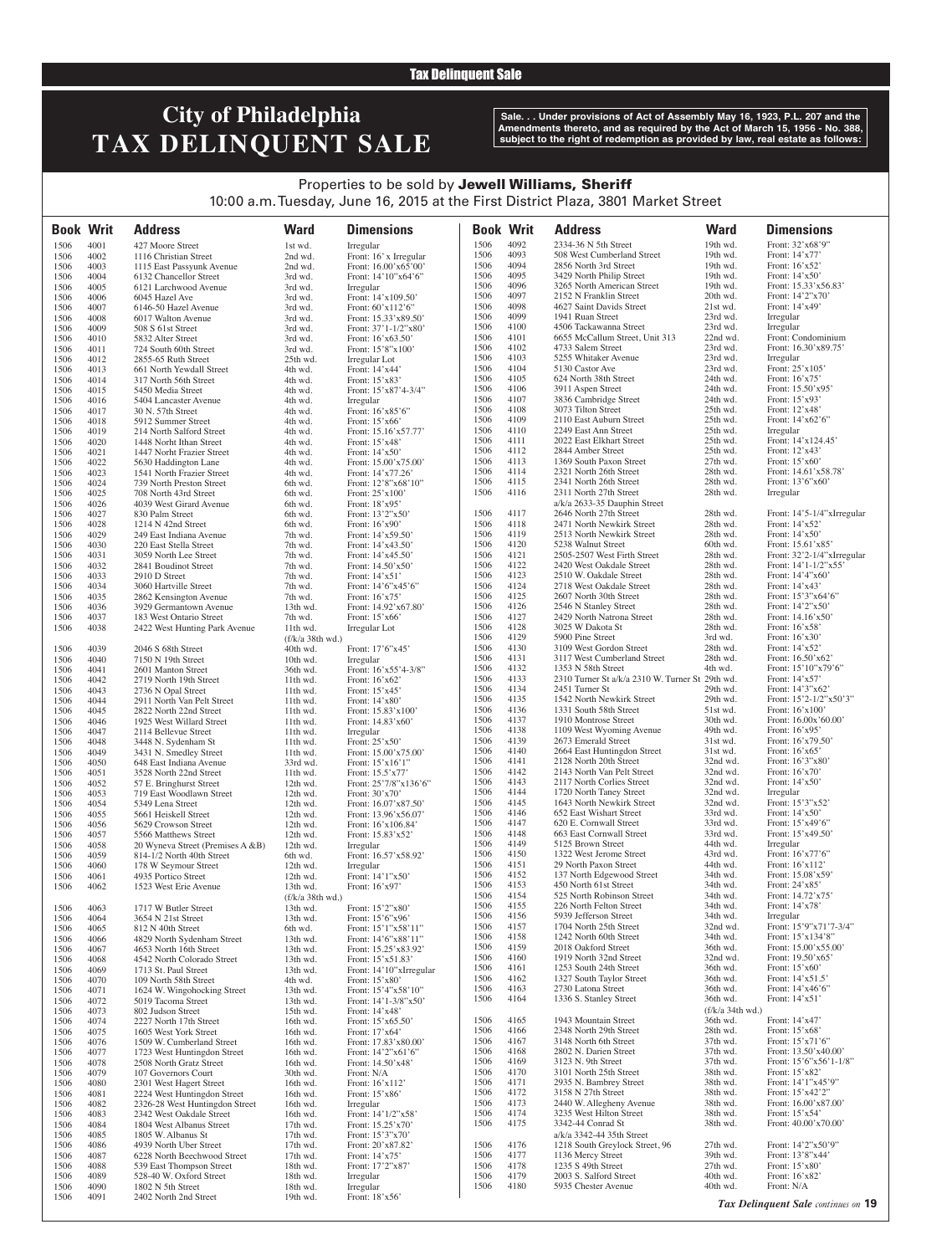#### Tax Delinquent Sale

# **City of Philadelphia TAX DELINQUENT SALE**

**Sale. . . Under provisions of Act of Assembly May 16, 1923, P.L. 207 and the Amendments thereto, and as required by the Act of March 15, 1956 - No. 388, subject to the right of redemption as provided by law, real estate as follows:**

### Properties to be sold by Jewell Williams, Sheriff 10:00 a.m. Tuesday, June 16, 2015 at the First District Plaza, 3801 Market Street

| <b>Book Writ</b> |              | <b>Address</b>                                       | <b>Ward</b>                  | <b>Dimensions</b>                                 | <b>Book Writ</b> |              | <b>Address</b>                                                        | <b>Ward</b>          | <b>Dimensions</b>                      |
|------------------|--------------|------------------------------------------------------|------------------------------|---------------------------------------------------|------------------|--------------|-----------------------------------------------------------------------|----------------------|----------------------------------------|
|                  |              |                                                      |                              |                                                   | 1506             | 4092         | 2334-36 N 5th Street                                                  | 19th wd.             | Front: 32'x68'9"                       |
| 1506<br>1506     | 4001<br>4002 | 427 Moore Street<br>1116 Christian Street            | 1st wd.<br>2nd wd.           | Irregular<br>Front: 16' x Irregular               | 1506             | 4093         | 508 West Cumberland Street                                            | 19th wd.             | Front: 14'x77'                         |
| 1506             | 4003         | 1115 East Passyunk Avenue                            | 2nd wd.                      | Front: 16.00'x65'00'                              | 1506             | 4094         | 2856 North 3rd Street                                                 | 19th wd.             | Front: 16'x52'                         |
| 1506             | 4004         | 6132 Chancellor Street                               | 3rd wd.                      | Front: 14'10"x64'6"                               | 1506             | 4095         | 3429 North Philip Street                                              | 19th wd.             | Front: 14'x50'                         |
| 1506             | 4005         | 6121 Larchwood Avenue                                | 3rd wd.                      | Irregular                                         | 1506             | 4096         | 3265 North American Street                                            | 19th wd.             | Front: 15.33'x56.83'                   |
| 1506             | 4006         | 6045 Hazel Ave                                       | 3rd wd.                      | Front: 14'x109.50'                                | 1506             | 4097         | 2152 N Franklin Street                                                | 20th wd.             | Front: 14'2"x70'                       |
| 1506             | 4007         | 6146-50 Hazel Avenue                                 | 3rd wd.                      | Front: 60'x112'6"                                 | 1506<br>1506     | 4098<br>4099 | 4627 Saint Davids Street<br>1941 Ruan Street                          | 21st wd.<br>23rd wd. | Front: 14'x49'<br>Irregular            |
| 1506<br>1506     | 4008<br>4009 | 6017 Walton Avenue<br>508 S 61st Street              | 3rd wd.<br>3rd wd.           | Front: 15.33'x89.50'<br>Front: $37'1 - 1/2''x80'$ | 1506             | 4100         | 4506 Tackawanna Street                                                | 23rd wd.             | Irregular                              |
| 1506             | 4010         | 5832 Alter Street                                    | 3rd wd.                      | Front: 16'x63.50'                                 | 1506             | 4101         | 6655 McCallum Street, Unit 313                                        | 22nd wd.             | Front: Condominium                     |
| 1506             | 4011         | 724 South 60th Street                                | 3rd wd.                      | Front: 15'8"x100"                                 | 1506             | 4102         | 4733 Salem Street                                                     | 23rd wd.             | Front: 16.30'x89.75'                   |
| 1506             | 4012         | 2855-65 Ruth Street                                  | 25th wd.                     | Irregular Lot                                     | 1506             | 4103         | 5255 Whitaker Avenue                                                  | 23rd wd.             | Irregular                              |
| 1506             | 4013         | 661 North Yewdall Street                             | 4th wd.                      | Front: 14'x44'                                    | 1506             | 4104         | 5130 Castor Ave                                                       | 23rd wd.             | Front: 25'x105'                        |
| 1506             | 4014         | 317 North 56th Street                                | 4th wd.                      | Front: 15'x83'                                    | 1506<br>1506     | 4105<br>4106 | 624 North 38th Street<br>3911 Aspen Street                            | 24th wd.<br>24th wd. | Front: 16'x75'<br>Front: 15.50'x95'    |
| 1506<br>1506     | 4015<br>4016 | 5450 Media Street<br>5404 Lancaster Avenue           | 4th wd.<br>4th wd.           | Front: 15'x87'4-3/4"<br>Irregular                 | 1506             | 4107         | 3836 Cambridge Street                                                 | 24th wd.             | Front: 15'x93'                         |
| 1506             | 4017         | 30 N. 57th Street                                    | 4th wd.                      | Front: 16'x85'6"                                  | 1506             | 4108         | 3073 Tilton Street                                                    | 25th wd.             | Front: 12'x48'                         |
| 1506             | 4018         | 5912 Summer Street                                   | 4th wd.                      | Front: 15'x66'                                    | 1506             | 4109         | 2110 East Auburn Street                                               | 25th wd.             | Front: 14'x62'6"                       |
| 1506             | 4019         | 214 North Salford Street                             | 4th wd.                      | Front: 15.16'x57.77'                              | 1506             | 4110         | 2249 East Ann Street                                                  | 25th wd.             | Irregular                              |
| 1506             | 4020         | 1448 Norht Ithan Street                              | 4th wd.                      | Front: 15'x48'                                    | 1506             | 4111         | 2022 East Elkhart Street                                              | 25th wd.             | Front: 14'x124.45'                     |
| 1506<br>1506     | 4021<br>4022 | 1447 Norht Frazier Street                            | 4th wd.<br>4th wd.           | Front: $14'x50'$                                  | 1506<br>1506     | 4112<br>4113 | 2844 Amber Street<br>1369 South Paxon Street                          | 25th wd.<br>27th wd. | Front: 12'x43'<br>Front: $15'x60'$     |
| 1506             | 4023         | 5630 Haddington Lane<br>1541 North Frazier Street    | 4th wd.                      | Front: 15.00'x75.00'<br>Front: 14'x77.26'         | 1506             | 4114         | 2321 North 26th Street                                                | 28th wd.             | Front: 14.61'x58.78'                   |
| 1506             | 4024         | 739 North Preston Street                             | 6th wd.                      | Front: 12'8"x68'10"                               | 1506             | 4115         | 2341 North 26th Street                                                | 28th wd.             | Front: 13'6"x60"                       |
| 1506             | 4025         | 708 North 43rd Street                                | 6th wd.                      | Front: 25'x100'                                   | 1506             | 4116         | 2311 North 27th Street                                                | 28th wd.             | Irregular                              |
| 1506             | 4026         | 4039 West Girard Avenue                              | 6th wd.                      | Front: 18'x95'                                    |                  |              | a/k/a 2633-35 Dauphin Street                                          |                      |                                        |
| 1506             | 4027         | 830 Palm Street                                      | 6th wd.                      | Front: 13'2"x50'                                  | 1506             | 4117         | 2646 North 27th Street                                                | 28th wd.             | Front: 14'5-1/4"xIrregular             |
| 1506<br>1506     | 4028<br>4029 | 1214 N 42nd Street                                   | 6th wd.<br>7th wd.           | Front: 16'x90'                                    | 1506<br>1506     | 4118<br>4119 | 2471 North Newkirk Street<br>2513 North Newkirk Street                | 28th wd.<br>28th wd. | Front: 14'x52'<br>Front: 14'x50'       |
| 1506             | 4030         | 249 East Indiana Avenue<br>220 East Stella Street    | 7th wd.                      | Front: 14'x59.50'<br>Front: 14'x43.50'            | 1506             | 4120         | 5238 Walnut Street                                                    | 60th wd.             | Front: 15.61'x85'                      |
| 1506             | 4031         | 3059 North Lee Street                                | 7th wd.                      | Front: 14'x45.50'                                 | 1506             | 4121         | 2505-2507 West Firth Street                                           | 28th wd.             | Front: 32'2-1/4"xIrregular             |
| 1506             | 4032         | 2841 Boudinot Street                                 | 7th wd.                      | Front: 14.50'x50'                                 | 1506             | 4122         | 2420 West Oakdale Street                                              | 28th wd.             | Front: $14'1 - 1/2''x55'$              |
| 1506             | 4033         | 2910 D Street                                        | 7th wd.                      | Front: $14'x51'$                                  | 1506             | 4123         | 2510 W. Oakdale Street                                                | 28th wd.             | Front: 14'4"x60'                       |
| 1506             | 4034         | 3060 Hartville Street                                | 7th wd.                      | Front: $14'6''x45'6''$                            | 1506             | 4124         | 2718 West Oakdale Street                                              | 28th wd.             | Front: 14'x43'                         |
| 1506             | 4035         | 2862 Kensington Avenue                               | 7th wd.                      | Front: $16'x75'$                                  | 1506<br>1506     | 4125<br>4126 | 2607 North 30th Street                                                | 28th wd.<br>28th wd. | Front: 15'3"x64'6"                     |
| 1506<br>1506     | 4036<br>4037 | 3929 Germantown Avenue<br>183 West Ontario Street    | 13th wd.<br>7th wd.          | Front: 14.92'x67.80'<br>Front: 15'x66'            | 1506             | 4127         | 2546 N Stanley Street<br>2429 North Natrona Street                    | 28th wd.             | Front: 14'2"x50'<br>Front: 14.16'x50'  |
| 1506             | 4038         | 2422 West Hunting Park Avenue                        | 11th wd.                     | Irregular Lot                                     | 1506             | 4128         | 3025 W Dakota St                                                      | 28th wd.             | Front: 16'x58'                         |
|                  |              |                                                      | (f/k/a 38th wd.)             |                                                   | 1506             | 4129         | 5900 Pine Street                                                      | 3rd wd.              | Front: 16'x30'                         |
| 1506             | 4039         | 2046 S 68th Street                                   | 40th wd.                     | Front: 17'6"x45'                                  | 1506             | 4130         | 3109 West Gordon Street                                               | 28th wd.             | Front: 14'x52'                         |
| 1506             | 4040         | 7150 N 19th Street                                   | 10th wd.                     | Irregular                                         | 1506             | 4131         | 3117 West Cumberland Street                                           | 28th wd.             | Front: 16.50'x62'                      |
| 1506             | 4041         | 2601 Manton Street                                   | 36th wd.                     | Front: 16'x55'4-3/8"                              | 1506<br>1506     | 4132<br>4133 | 1353 N 58th Street<br>2310 Turner St a/k/a 2310 W. Turner St 29th wd. | 4th wd.              | Front: 15'10"x79'6"<br>Front: 14'x57'  |
| 1506<br>1506     | 4042<br>4043 | 2719 North 19th Street<br>2736 N Opal Street         | 11th wd.<br>11th wd.         | Front: 16'x62'<br>Front: 15'x45'                  | 1506             | 4134         | 2451 Turner St                                                        | 29th wd.             | Front: 14'3"x62'                       |
| 1506             | 4044         | 2911 North Van Pelt Street                           | 11th wd.                     | Front: 14'x80'                                    | 1506             | 4135         | 1542 North Newkirk Street                                             | 29th wd.             | Front: $15'2 - 1/2''x50'3''$           |
| 1506             | 4045         | 2822 North 22nd Street                               | 11th wd.                     | Front: 15.83'x100'                                | 1506             | 4136         | 1331 South 58th Street                                                | 51st wd.             | Front: 16'x100'                        |
| 1506             | 4046         | 1925 West Willard Street                             | 11th wd.                     | Front: 14.83'x60'                                 | 1506             | 4137         | 1910 Montrose Street                                                  | 30th wd.             | Front: 16.00x'60.00'                   |
| 1506             | 4047         | 2114 Bellevue Street                                 | $11th$ wd.                   | Irregular                                         | 1506             | 4138         | 1109 West Wyoming Avenue                                              | 49th wd.             | Front: 16'x95'                         |
| 1506             | 4048         | 3448 N. Sydenham St                                  | 11th wd.                     | Front: 25'x50'                                    | 1506<br>1506     | 4139<br>4140 | 2673 Emerald Street<br>2664 East Huntingdon Street                    | 31st wd.<br>31st wd. | Front: 16'x79.50'<br>Front: 16'x65'    |
| 1506<br>1506     | 4049<br>4050 | 3431 N. Smedley Street<br>648 East Indiana Avenue    | 11th wd.<br>33rd wd.         | Front: 15.00'x75.00'<br>Front: $15'x16'1"$        | 1506             | 4141         | 2128 North 20th Street                                                | 32nd wd.             | Front: 16'3"x80'                       |
| 1506             | 4051         | 3528 North 22nd Street                               | 11th wd.                     | Front: 15.5'x77'                                  | 1506             | 4142         | 2143 North Van Pelt Street                                            | 32nd wd.             | Front: 16'x70'                         |
| 1506             | 4052         | 57 E. Bringhurst Street                              | 12th wd.                     | Front: 25'7/8"x136'6"                             | 1506             | 4143         | 2117 North Corlies Street                                             | 32nd wd.             | Front: 14'x50'                         |
| 1506             | 4053         | 719 East Woodlawn Street                             | 12th wd.                     | Front: 30'x70'                                    | 1506             | 4144         | 1720 North Taney Street                                               | 32nd wd.             | Irregular                              |
| 1506             | 4054         | 5349 Lena Street                                     | 12th wd.                     | Front: 16.07'x87.50'                              | 1506             | 4145         | 1643 North Newkirk Street                                             | 32nd wd.             | Front: 15'3"x52'                       |
| 1506             | 4055<br>4056 | 5661 Heiskell Street<br>5629 Crowson Street          | 12th wd.<br>12th wd.         | Front: 13.96'x56.07'                              | 1506<br>1506     | 4146<br>4147 | 652 East Wishart Street<br>620 E. Cornwall Street                     | 33rd wd.<br>33rd wd. | Front: 14'x50'<br>Front: 15'x49'6"     |
| 1506<br>1506     | 4057         | 5566 Matthews Street                                 | 12th wd.                     | Front: 16'x106.84'<br>Front: 15.83'x52'           | 1506             | 4148         | 663 East Cornwall Street                                              | 33rd wd.             | Front: 15'x49.50'                      |
| 1506             | 4058         | 20 Wyneva Street (Premises A & B)                    | 12th wd.                     | Irregular                                         | 1506             | 4149         | 5125 Brown Street                                                     | 44th wd.             | Irregular                              |
| 1506             | 4059         | 814-1/2 North 40th Street                            | 6th wd.                      | Front: 16.57'x58.92'                              | 1506             | 4150         | 1322 West Jerome Street                                               | 43rd wd.             | Front: 16'x77'6"                       |
| 1506             | 4060         | 178 W Seymour Street                                 | 12th wd.                     | Irregular                                         | 1506             | 4151         | 29 North Paxon Street                                                 | 44th wd.             | Front: 16'x112'                        |
| 1506             | 4061         | 4935 Portico Street                                  | 12th wd.                     | Front: 14'1"x50'                                  | 1506             | 4152         | 137 North Edgewood Street                                             | 34th wd.             | Front: 15.08'x59'                      |
| 1506             | 4062         | 1523 West Erie Avenue                                | 13th wd.                     | Front: 16'x97'                                    | 1506<br>1506     | 4153<br>4154 | 450 North 61st Street<br>525 North Robinson Street                    | 34th wd.<br>34th wd. | Front: 24'x85'<br>Front: 14.72'x75'    |
| 1506             | 4063         | 1717 W Butler Street                                 | (f/k/a 38th wd.)<br>13th wd. | Front: 15'2"x80'                                  | 1506             | 4155         | 226 North Felton Street                                               | 34th wd.             | Front: 14'x78'                         |
| 1506             | 4064         | 3654 N 21st Street                                   | 13th wd.                     | Front: 15'6"x96'                                  | 1506             | 4156         | 5939 Jefferson Street                                                 | 34th wd.             | Irregular                              |
| 1506             | 4065         | 812 N 40th Street                                    | 6th wd.                      | Front: 15'1"x58'11"                               | 1506             | 4157         | 1704 North 25th Street                                                | 32nd wd.             | Front: 15'9"x71'7-3/4"                 |
| 1506             | 4066         | 4829 North Sydenham Street                           | 13th wd.                     | Front: 14'6"x88'11"                               | 1506             | 4158         | 1242 North 60th Street                                                | 34th wd.             | Front: 15'x134'8"                      |
| 1506             | 4067         | 4653 North 16th Street                               | 13th wd.                     | Front: 15.25'x83.92'                              | 1506<br>1506     | 4159<br>4160 | 2018 Oakford Street                                                   | 36th wd.<br>32nd wd. | Front: 15.00'x55.00'                   |
| 1506             | 4068         | 4542 North Colorado Street                           | 13th wd.<br>13th wd.         | Front: 15'x51.83'<br>Front: 14'10"xIrregular      | 1506             | 4161         | 1919 North 32nd Street<br>1253 South 24th Street                      | 36th wd.             | Front: 19.50'x65'<br>Front: $15'x60'$  |
| 1506<br>1506     | 4069<br>4070 | 1713 St. Paul Street<br>109 North 58th Street        | 4th wd.                      | Front: 15'x80'                                    | 1506             | 4162         | 1327 South Taylor Street                                              | 36th wd.             | Front: 14'x51.5'                       |
| 1506             | 4071         | 1624 W. Wingohocking Street                          | 13th wd.                     | Front: 15'4"x58'10"                               | 1506             | 4163         | 2730 Latona Street                                                    | 36th wd.             | Front: 14'x46'6"                       |
| 1506             | 4072         | 5019 Tacoma Street                                   | 13th wd.                     | Front: 14'1-3/8"x50'                              | 1506             | 4164         | 1336 S. Stanley Street                                                | 36th wd.             | Front: 14'x51'                         |
| 1506             | 4073         | 802 Judson Street                                    | 15th wd.                     | Front: 14'x48'                                    |                  |              |                                                                       | (f/k/a 34th wd.)     |                                        |
| 1506             | 4074         | 2227 North 17th Street                               | 16th wd.                     | Front: 15'x65.50'                                 | 1506             | 4165<br>4166 | 1943 Mountain Street                                                  | 36th wd.<br>28th wd. | Front: 14'x47'                         |
| 1506<br>1506     | 4075<br>4076 | 1605 West York Street<br>1509 W. Cumberland Street   | 16th wd.<br>16th wd.         | Front: 17'x64'<br>Front: 17.83'x80.00'            | 1506<br>1506     | 4167         | 2348 North 29th Street<br>3148 North 6th Street                       | 37th wd.             | Front: 15'x68'<br>Front: 15'x71'6"     |
| 1506             | 4077         | 1723 West Huntingdon Street                          | 16th wd.                     | Front: 14'2"x61'6"                                | 1506             | 4168         | 2802 N. Darien Street                                                 | 37th wd.             | Front: 13.50'x40.00'                   |
| 1506             | 4078         | 2508 North Gratz Street                              | 16th wd.                     | Front: 14.50'x48'                                 | 1506             | 4169         | 3123 N. 9th Street                                                    | 37th wd.             | Front: $15'6''x56'1-1/8"$              |
| 1506             | 4079         | 107 Governors Court                                  | 30th wd.                     | Front: N/A                                        | 1506             | 4170         | 3101 North 25th Street                                                | 38th wd.             | Front: 15'x82'                         |
| 1506             | 4080         | 2301 West Hagert Street                              | 16th wd.                     | Front: 16'x112'                                   | 1506             | 4171         | 2935 N. Bambrey Street                                                | 38th wd.             | Front: 14'1"x45'9"                     |
| 1506             | 4081         | 2224 West Huntingdon Street                          | 16th wd.                     | Front: 15'x86'                                    | 1506             | 4172         | 3158 N 27th Street                                                    | 38th wd.             | Front: 15'x42'2"                       |
| 1506             | 4082         | 2326-28 West Huntingdon Street                       | 16th wd.                     | Irregular                                         | 1506<br>1506     | 4173<br>4174 | 2440 W. Allegheny Avenue<br>3235 West Hilton Street                   | 38th wd.<br>38th wd. | Front: 16.00'x87.00'<br>Front: 15'x54' |
| 1506<br>1506     | 4083<br>4084 | 2342 West Oakdale Street<br>1804 West Albanus Street | 16th wd.<br>17th wd.         | Front: 14'1/2"x58'<br>Front: 15.25'x70'           | 1506             | 4175         | 3342-44 Conrad St                                                     | 38th wd.             | Front: 40.00'x70.00'                   |
| 1506             | 4085         | 1805 W. Albanus St                                   | 17th wd.                     | Front: 15'3"x70'                                  |                  |              | a/k/a 3342-44 35th Street                                             |                      |                                        |
| 1506             | 4086         | 4939 North Uber Street                               | 17th wd.                     | Front: 20'x87.82'                                 | 1506             | 4176         | 1218 South Greylock Street, 96                                        | 27th wd.             | Front: 14'2"x50'9"                     |
| 1506             | 4087         | 6228 North Beechwood Street                          | 17th wd.                     | Front: 14'x75'                                    | 1506             | 4177         | 1136 Mercy Street                                                     | 39th wd.             | Front: 13'8"x44'                       |
| 1506             | 4088         | 539 East Thompson Street                             | 18th wd.                     | Front: 17'2"x87'                                  | 1506             | 4178         | 1235 S 49th Street                                                    | 27th wd.             | Front: 15'x80'                         |
| 1506             | 4089<br>4090 | 528-40 W. Oxford Street<br>1802 N 5th Street         | 18th wd.<br>18th wd.         | Irregular<br>Irregular                            | 1506<br>1506     | 4179<br>4180 | 2003 S. Salford Street<br>5935 Chester Avenue                         | 40th wd.<br>40th wd. | Front: 16'x82'<br>Front: N/A           |
| 1506<br>1506     | 4091         | 2402 North 2nd Street                                | 19th wd.                     | Front: 18'x56'                                    |                  |              |                                                                       |                      |                                        |
|                  |              |                                                      |                              |                                                   |                  |              |                                                                       |                      | Tax Delinquent Sale continues on 19    |